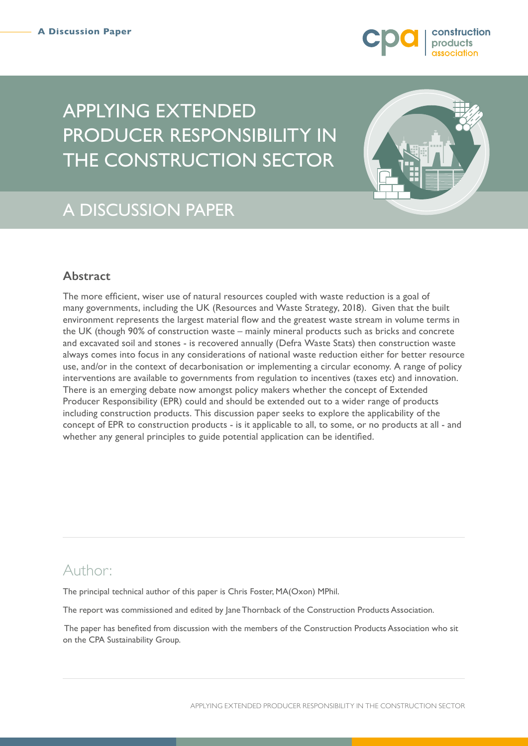

# APPLYING EXTENDED PRODUCER RESPONSIBILITY IN THE CONSTRUCTION SECTOR



# A DISCUSSION PAPER

# **Abstract**

The more efficient, wiser use of natural resources coupled with waste reduction is a goal of many governments, including the UK (Resources and Waste Strategy, 2018). Given that the built environment represents the largest material flow and the greatest waste stream in volume terms in the UK (though 90% of construction waste – mainly mineral products such as bricks and concrete and excavated soil and stones - is recovered annually (Defra Waste Stats) then construction waste always comes into focus in any considerations of national waste reduction either for better resource use, and/or in the context of decarbonisation or implementing a circular economy. A range of policy interventions are available to governments from regulation to incentives (taxes etc) and innovation. There is an emerging debate now amongst policy makers whether the concept of Extended Producer Responsibility (EPR) could and should be extended out to a wider range of products including construction products. This discussion paper seeks to explore the applicability of the concept of EPR to construction products - is it applicable to all, to some, or no products at all - and whether any general principles to guide potential application can be identified.

# Author:

The principal technical author of this paper is Chris Foster, MA(Oxon) MPhil.

The report was commissioned and edited by Jane Thornback of the Construction Products Association.

 The paper has benefited from discussion with the members of the Construction Products Association who sit on the CPA Sustainability Group.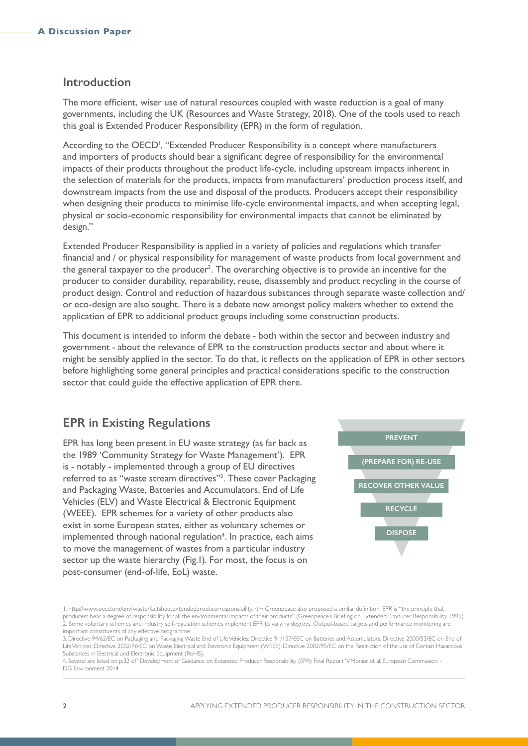### <span id="page-1-0"></span>**Introduction**

The more efficient, wiser use of natural resources coupled with waste reduction is a goal of many governments, including the UK (Resources and Waste Strategy, 2018). One of the tools used to reach this goal is Extended Producer Responsibility (EPR) in the form of regulation.

According to the OECD<sup>1</sup>, "Extended Producer Responsibility is a concept where manufacturers and importers of products should bear a significant degree of responsibility for the environmental impacts of their products throughout the product life-cycle, including upstream impacts inherent in the selection of materials for the products, impacts from manufacturers' production process itself, and downstream impacts from the use and disposal of the products. Producers accept their responsibility when designing their products to minimise life-cycle environmental impacts, and when accepting legal, physical or socio-economic responsibility for environmental impacts that cannot be eliminated by design."

Extended Producer Responsibility is applied in a variety of policies and regulations which transfer financial and / or physical responsibility for management of waste products from local government and the general taxpayer to the producer<sup>2</sup>. The overarching objective is to provide an incentive for the producer to consider durability, reparability, reuse, disassembly and product recycling in the course of product design. Control and reduction of hazardous substances through separate waste collection and/ or eco-design are also sought. There is a debate now amongst policy makers whether to extend the application of EPR to additional product groups including some construction products.

This document is intended to inform the debate - both within the sector and between industry and government - about the relevance of EPR to the construction products sector and about where it might be sensibly applied in the sector. To do that, it reflects on the application of EPR in other sectors before highlighting some general principles and practical considerations specific to the construction sector that could guide the effective application of EPR there.

## **EPR in Existing Regulations**

EPR has long been present in EU waste strategy (as far back as the 1989 'Community Strategy for Waste Management'). EPR is - notably - implemented through a group of EU directives referred to as "waste stream directives"<sup>3</sup>. These cover Packaging and Packaging Waste, Batteries and Accumulators, End of Life Vehicles (ELV) and Waste Electrical & Electronic Equipment (WEEE). EPR schemes for a variety of other products also exist in some European states, either as voluntary schemes or implemented through national regulation<sup>4</sup>. In practice, each aims to move the management of wastes from a particular industry sector up the waste hierarchy (Fig.1). For most, the focus is on post-consumer (end-of-life, EoL) waste.



4. Several are listed on p.32 of "Development of Guidance on Extended Producer Responsibility (EPR) Final Report" V.Monier et al, European Commission - DG Environment 2014

<sup>1.</sup> http://www.oecd.org/env/waste/factsheetextendedproducerresponsibility.htm Greenpeace also proposed a similar definition: EPR is "the principle that producers bear a degree of responsibility for all the environmental impacts of their products" (Greenpeace's Briefing on Extended Producer Responsibility, 1995) 2. Some voluntary schemes and industry self-regulation schemes implement EPR to varying degrees. Output-based targets and performance monitoring are important constituents of any effective programme.

<sup>3.</sup> Directive 94/62/EC on Packaging and Packaging Waste End of Life Vehicles; Directive 91/157/EEC on Batteries and Accumulators; Directive 2000/53/EC on End of Life Vehicles; Directive 2002/96/EC on Waste Electrical and Electronic Equipment (WEEE); Directive 2002/95/EC on the Restriction of the use of Certain Hazardous Substances in Electrical and Electronic Equipment (RoHS).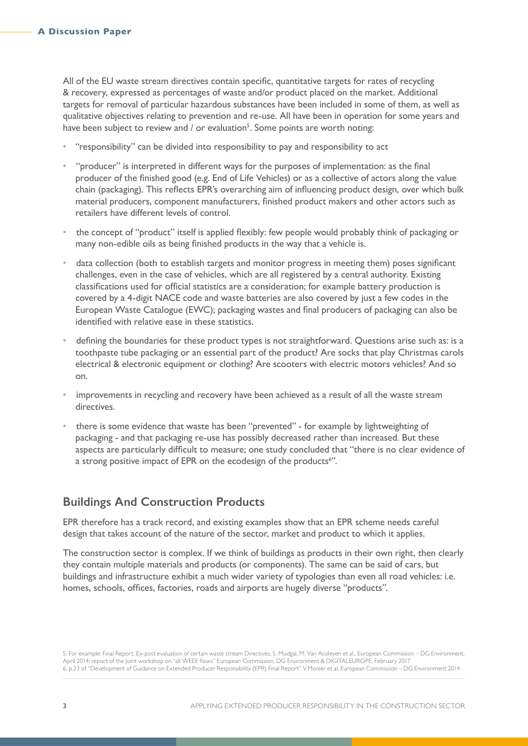All of the EU waste stream directives contain specific, quantitative targets for rates of recycling & recovery, expressed as percentages of waste and/or product placed on the market. Additional targets for removal of particular hazardous substances have been included in some of them, as well as qualitative objectives relating to prevention and re-use. All have been in operation for some years and have been subject to review and / or evaluation<sup>5</sup>. Some points are worth noting:

- "responsibility" can be divided into responsibility to pay and responsibility to act
- "producer" is interpreted in different ways for the purposes of implementation: as the final producer of the finished good (e.g. End of Life Vehicles) or as a collective of actors along the value chain (packaging). This reflects EPR's overarching aim of influencing product design, over which bulk material producers, component manufacturers, finished product makers and other actors such as retailers have different levels of control.
- the concept of "product" itself is applied flexibly: few people would probably think of packaging or many non-edible oils as being finished products in the way that a vehicle is.
- data collection (both to establish targets and monitor progress in meeting them) poses significant challenges, even in the case of vehicles, which are all registered by a central authority. Existing classifications used for official statistics are a consideration; for example battery production is covered by a 4-digit NACE code and waste batteries are also covered by just a few codes in the European Waste Catalogue (EWC); packaging wastes and final producers of packaging can also be identified with relative ease in these statistics.
- defining the boundaries for these product types is not straightforward. Questions arise such as: is a toothpaste tube packaging or an essential part of the product? Are socks that play Christmas carols electrical & electronic equipment or clothing? Are scooters with electric motors vehicles? And so on.
- improvements in recycling and recovery have been achieved as a result of all the waste stream directives.
- there is some evidence that waste has been "prevented" for example by lightweighting of packaging - and that packaging re-use has possibly decreased rather than increased. But these aspects are particularly difficult to measure; one study concluded that "there is no clear evidence of a strong positive impact of EPR on the ecodesign of the products<sup>6</sup>".

# **Buildings And Construction Products**

EPR therefore has a track record, and existing examples show that an EPR scheme needs careful design that takes account of the nature of the sector, market and product to which it applies.

The construction sector is complex. If we think of buildings as products in their own right, then clearly they contain multiple materials and products (or components). The same can be said of cars, but buildings and infrastructure exhibit a much wider variety of typologies than even all road vehicles: i.e. homes, schools, offices, factories, roads and airports are hugely diverse "products".

5. For example: Final Report, Ex-post evaluation of certain waste stream Directives, S. Mudgal, M. Van Acoleyen et al., European Commission – DG Environment, April 2014; report of the Joint workshop on "all WEEE flows" European Commission, DG Environment & DIGITALEUROPE, February 2017 6. p.23 of "Development of Guidance on Extended Producer Responsibility (EPR) Final Report" V.Monier et al, European Commission – DG Environment 2014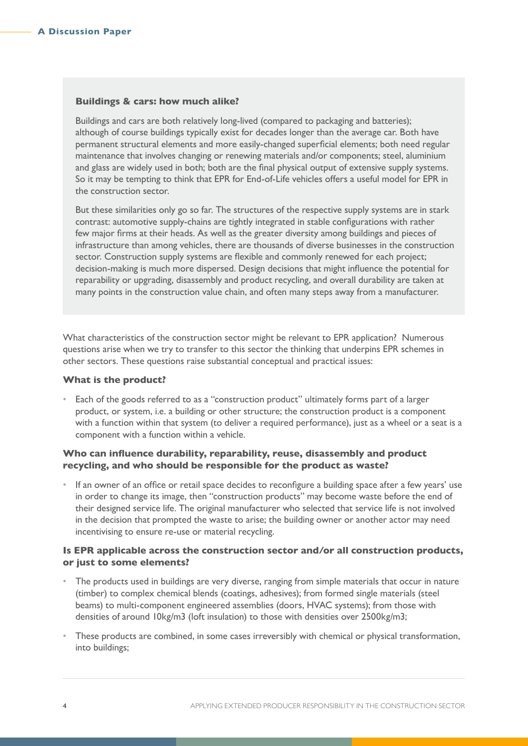#### **Buildings & cars: how much alike?**

Buildings and cars are both relatively long-lived (compared to packaging and batteries); although of course buildings typically exist for decades longer than the average car. Both have permanent structural elements and more easily-changed superficial elements; both need regular maintenance that involves changing or renewing materials and/or components; steel, aluminium and glass are widely used in both; both are the final physical output of extensive supply systems. So it may be tempting to think that EPR for End-of-Life vehicles offers a useful model for EPR in the construction sector.

But these similarities only go so far. The structures of the respective supply systems are in stark contrast: automotive supply-chains are tightly integrated in stable configurations with rather few major firms at their heads. As well as the greater diversity among buildings and pieces of infrastructure than among vehicles, there are thousands of diverse businesses in the construction sector. Construction supply systems are flexible and commonly renewed for each project; decision-making is much more dispersed. Design decisions that might influence the potential for reparability or upgrading, disassembly and product recycling, and overall durability are taken at many points in the construction value chain, and often many steps away from a manufacturer.

What characteristics of the construction sector might be relevant to EPR application? Numerous questions arise when we try to transfer to this sector the thinking that underpins EPR schemes in other sectors. These questions raise substantial conceptual and practical issues:

#### **What is the product?**

• Each of the goods referred to as a "construction product" ultimately forms part of a larger product, or system, i.e. a building or other structure; the construction product is a component with a function within that system (to deliver a required performance), just as a wheel or a seat is a component with a function within a vehicle.

#### **Who can influence durability, reparability, reuse, disassembly and product recycling, and who should be responsible for the product as waste?**

• If an owner of an office or retail space decides to reconfigure a building space after a few years' use in order to change its image, then "construction products" may become waste before the end of their designed service life. The original manufacturer who selected that service life is not involved in the decision that prompted the waste to arise; the building owner or another actor may need incentivising to ensure re-use or material recycling.

#### **Is EPR applicable across the construction sector and/or all construction products, or just to some elements?**

- The products used in buildings are very diverse, ranging from simple materials that occur in nature (timber) to complex chemical blends (coatings, adhesives); from formed single materials (steel beams) to multi-component engineered assemblies (doors, HVAC systems); from those with densities of around 10kg/m3 (loft insulation) to those with densities over 2500kg/m3;
- These products are combined, in some cases irreversibly with chemical or physical transformation, into buildings;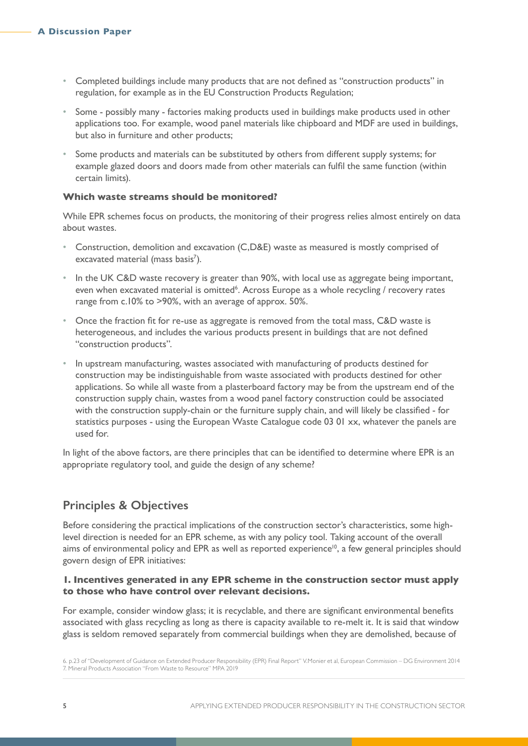- Completed buildings include many products that are not defined as "construction products" in regulation, for example as in the EU Construction Products Regulation;
- Some possibly many factories making products used in buildings make products used in other applications too. For example, wood panel materials like chipboard and MDF are used in buildings, but also in furniture and other products;
- Some products and materials can be substituted by others from different supply systems; for example glazed doors and doors made from other materials can fulfil the same function (within certain limits).

#### **Which waste streams should be monitored?**

While EPR schemes focus on products, the monitoring of their progress relies almost entirely on data about wastes.

- Construction, demolition and excavation (C,D&E) waste as measured is mostly comprised of excavated material (mass basis<sup>7</sup>).
- In the UK C&D waste recovery is greater than 90%, with local use as aggregate being important, even when excavated material is omitted<sup>6</sup>. Across Europe as a whole recycling / recovery rates range from c.10% to >90%, with an average of approx. 50%.
- Once the fraction fit for re-use as aggregate is removed from the total mass, C&D waste is heterogeneous, and includes the various products present in buildings that are not defined "construction products".
- In upstream manufacturing, wastes associated with manufacturing of products destined for construction may be indistinguishable from waste associated with products destined for other applications. So while all waste from a plasterboard factory may be from the upstream end of the construction supply chain, wastes from a wood panel factory construction could be associated with the construction supply-chain or the furniture supply chain, and will likely be classified - for statistics purposes - using the European Waste Catalogue code 03 01 xx, whatever the panels are used for.

In light of the above factors, are there principles that can be identified to determine where EPR is an appropriate regulatory tool, and guide the design of any scheme?

## **Principles & Objectives**

Before considering the practical implications of the construction sector's characteristics, some highlevel direction is needed for an EPR scheme, as with any policy tool. Taking account of the overall aims of environmental policy and EPR as well as reported experience<sup>10</sup>, a few general principles should govern design of EPR initiatives:

#### **1. Incentives generated in any EPR scheme in the construction sector must apply to those who have control over relevant decisions.**

For example, consider window glass; it is recyclable, and there are significant environmental benefits associated with glass recycling as long as there is capacity available to re-melt it. It is said that window glass is seldom removed separately from commercial buildings when they are demolished, because of

<sup>6.</sup> p.23 of "Development of Guidance on Extended Producer Responsibility (EPR) Final Report" V.Monier et al, European Commission – DG Environment 2014 7. Mineral Products Association "From Waste to Resource" MPA 2019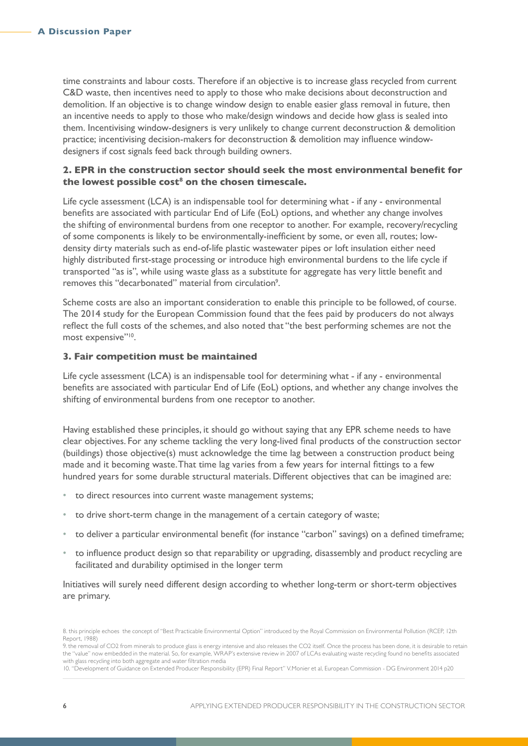time constraints and labour costs. Therefore if an objective is to increase glass recycled from current C&D waste, then incentives need to apply to those who make decisions about deconstruction and demolition. If an objective is to change window design to enable easier glass removal in future, then an incentive needs to apply to those who make/design windows and decide how glass is sealed into them. Incentivising window-designers is very unlikely to change current deconstruction & demolition practice; incentivising decision-makers for deconstruction & demolition may influence windowdesigners if cost signals feed back through building owners.

#### **2. EPR in the construction sector should seek the most environmental benefit for the lowest possible cost8 on the chosen timescale.**

Life cycle assessment (LCA) is an indispensable tool for determining what - if any - environmental benefits are associated with particular End of Life (EoL) options, and whether any change involves the shifting of environmental burdens from one receptor to another. For example, recovery/recycling of some components is likely to be environmentally-inefficient by some, or even all, routes; lowdensity dirty materials such as end-of-life plastic wastewater pipes or loft insulation either need highly distributed first-stage processing or introduce high environmental burdens to the life cycle if transported "as is", while using waste glass as a substitute for aggregate has very little benefit and removes this "decarbonated" material from circulation<sup>9</sup>.

Scheme costs are also an important consideration to enable this principle to be followed, of course. The 2014 study for the European Commission found that the fees paid by producers do not always reflect the full costs of the schemes, and also noted that "the best performing schemes are not the most expensive"<sup>10</sup>.

#### **3. Fair competition must be maintained**

Life cycle assessment (LCA) is an indispensable tool for determining what - if any - environmental benefits are associated with particular End of Life (EoL) options, and whether any change involves the shifting of environmental burdens from one receptor to another.

Having established these principles, it should go without saying that any EPR scheme needs to have clear objectives. For any scheme tackling the very long-lived final products of the construction sector (buildings) those objective(s) must acknowledge the time lag between a construction product being made and it becoming waste. That time lag varies from a few years for internal fittings to a few hundred years for some durable structural materials. Different objectives that can be imagined are:

- to direct resources into current waste management systems;
- to drive short-term change in the management of a certain category of waste;
- to deliver a particular environmental benefit (for instance "carbon" savings) on a defined timeframe;
- to influence product design so that reparability or upgrading, disassembly and product recycling are facilitated and durability optimised in the longer term

Initiatives will surely need different design according to whether long-term or short-term objectives are primary.

<sup>8.</sup> this principle echoes the concept of "Best Practicable Environmental Option" introduced by the Royal Commission on Environmental Pollution (RCEP, 12th Report, 1988)

<sup>9.</sup> the removal of CO2 from minerals to produce glass is energy intensive and also releases the CO2 itself. Once the process has been done, it is desirable to retain the "value" now embedded in the material. So, for example, WRAP's extensive review in 2007 of LCAs evaluating waste recycling found no benefits associated with glass recycling into both aggregate and water filtration media

<sup>10. &</sup>quot;Development of Guidance on Extended Producer Responsibility (EPR) Final Report" V.Monier et al, European Commission - DG Environment 2014 p20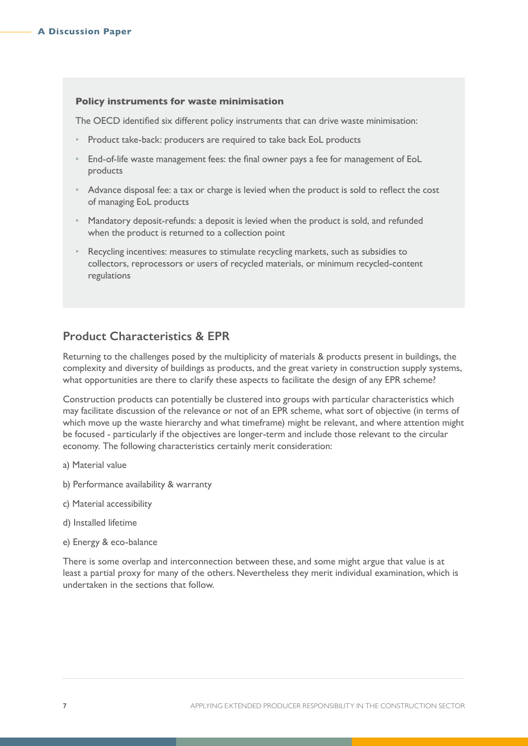#### **Policy instruments for waste minimisation**

The [OECD](#page-1-0) identified six different policy instruments that can drive waste minimisation:

- Product take-back: producers are required to take back EoL products
- End-of-life waste management fees: the final owner pays a fee for management of EoL products
- Advance disposal fee: a tax or charge is levied when the product is sold to reflect the cost of managing EoL products
- Mandatory deposit-refunds: a deposit is levied when the product is sold, and refunded when the product is returned to a collection point
- Recycling incentives: measures to stimulate recycling markets, such as subsidies to collectors, reprocessors or users of recycled materials, or minimum recycled-content regulations

# **Product Characteristics & EPR**

Returning to the challenges posed by the multiplicity of materials & products present in buildings, the complexity and diversity of buildings as products, and the great variety in construction supply systems, what opportunities are there to clarify these aspects to facilitate the design of any EPR scheme?

Construction products can potentially be clustered into groups with particular characteristics which may facilitate discussion of the relevance or not of an EPR scheme, what sort of objective (in terms of which move up the waste hierarchy and what timeframe) might be relevant, and where attention might be focused - particularly if the objectives are longer-term and include those relevant to the circular economy. The following characteristics certainly merit consideration:

- a) Material value
- b) Performance availability & warranty
- c) Material accessibility
- d) Installed lifetime
- e) Energy & eco-balance

There is some overlap and interconnection between these, and some might argue that value is at least a partial proxy for many of the others. Nevertheless they merit individual examination, which is undertaken in the sections that follow.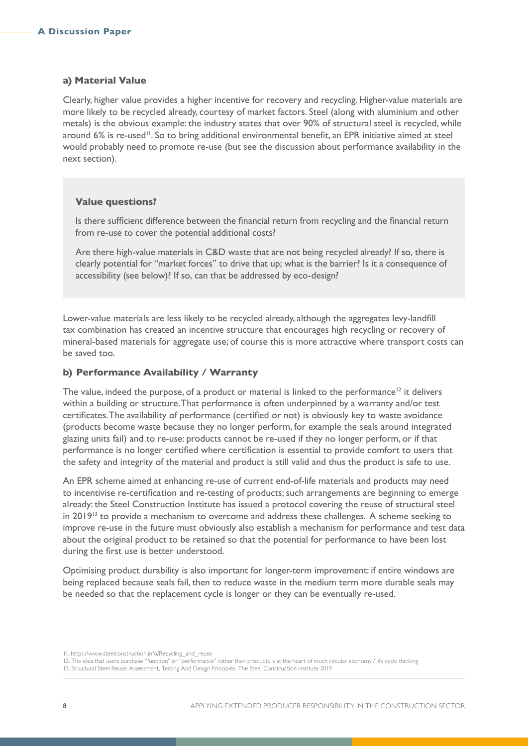#### **a) Material Value**

Clearly, higher value provides a higher incentive for recovery and recycling. Higher-value materials are more likely to be recycled already, courtesy of market factors. Steel (along with aluminium and other metals) is the obvious example: the industry states that over 90% of structural steel is recycled, while around 6% is re-used<sup>11</sup>. So to bring additional environmental benefit, an EPR initiative aimed at steel would probably need to promote re-use (but see the discussion about performance availability in the next section).

#### **Value questions?**

Is there sufficient difference between the financial return from recycling and the financial return from re-use to cover the potential additional costs?

Are there high-value materials in C&D waste that are not being recycled already? If so, there is clearly potential for "market forces" to drive that up; what is the barrier? Is it a consequence of accessibility (see below)? If so, can that be addressed by eco-design?

Lower-value materials are less likely to be recycled already, although the aggregates levy-landfill tax combination has created an incentive structure that encourages high recycling or recovery of mineral-based materials for aggregate use; of course this is more attractive where transport costs can be saved too.

#### **b) Performance Availability / Warranty**

The value, indeed the purpose, of a product or material is linked to the performance<sup>12</sup> it delivers within a building or structure. That performance is often underpinned by a warranty and/or test certificates. The availability of performance (certified or not) is obviously key to waste avoidance (products become waste because they no longer perform, for example the seals around integrated glazing units fail) and to re-use: products cannot be re-used if they no longer perform, or if that performance is no longer certified where certification is essential to provide comfort to users that the safety and integrity of the material and product is still valid and thus the product is safe to use.

An EPR scheme aimed at enhancing re-use of current end-of-life materials and products may need to incentivise re-certification and re-testing of products; such arrangements are beginning to emerge already: the Steel Construction Institute has issued a protocol covering the reuse of structural steel in 2019<sup>13</sup> to provide a mechanism to overcome and address these challenges. A scheme seeking to improve re-use in the future must obviously also establish a mechanism for performance and test data about the original product to be retained so that the potential for performance to have been lost during the first use is better understood.

Optimising product durability is also important for longer-term improvement: if entire windows are being replaced because seals fail, then to reduce waste in the medium term more durable seals may be needed so that the replacement cycle is longer or they can be eventually re-used.

<sup>11.</sup> https://www.steelconstruction.info/Recycling\_and\_reuse

<sup>12.</sup> The idea that users purchase "function" or "performance" rather than products is at the heart of much circular economy / life cycle thinking 13. Structural Steel Reuse: Assessment, Testing And Design Principles. The Steel Construction Institute 2019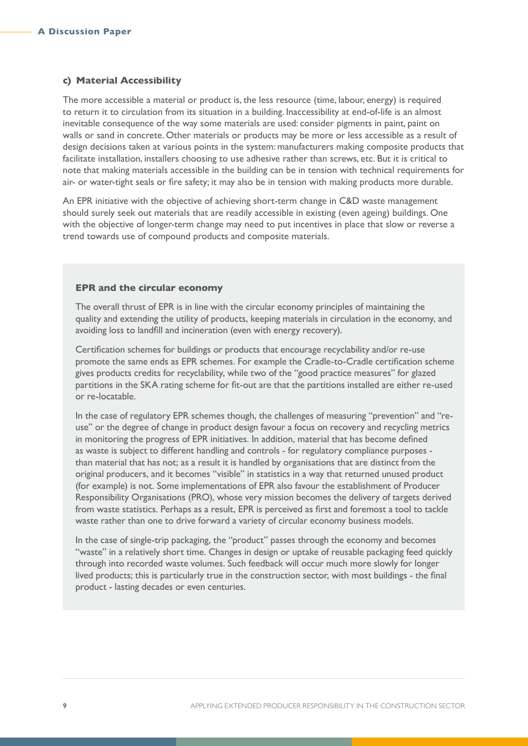#### **c) Material Accessibility**

The more accessible a material or product is, the less resource (time, labour, energy) is required to return it to circulation from its situation in a building. Inaccessibility at end-of-life is an almost inevitable consequence of the way some materials are used: consider pigments in paint, paint on walls or sand in concrete. Other materials or products may be more or less accessible as a result of design decisions taken at various points in the system: manufacturers making composite products that facilitate installation, installers choosing to use adhesive rather than screws, etc. But it is critical to note that making materials accessible in the building can be in tension with technical requirements for air- or water-tight seals or fire safety; it may also be in tension with making products more durable.

An EPR initiative with the objective of achieving short-term change in C&D waste management should surely seek out materials that are readily accessible in existing (even ageing) buildings. One with the objective of longer-term change may need to put incentives in place that slow or reverse a trend towards use of compound products and composite materials.

#### **EPR and the circular economy**

The overall thrust of EPR is in line with the circular economy principles of maintaining the quality and extending the utility of products, keeping materials in circulation in the economy, and avoiding loss to landfill and incineration (even with energy recovery).

Certification schemes for buildings or products that encourage recyclability and/or re-use promote the same ends as EPR schemes. For example the Cradle-to-Cradle certification scheme gives products credits for recyclability, while two of the "good practice measures" for glazed partitions in the SKA rating scheme for fit-out are that the partitions installed are either re-used or re-locatable.

In the case of regulatory EPR schemes though, the challenges of measuring "prevention" and "reuse" or the degree of change in product design favour a focus on recovery and recycling metrics in monitoring the progress of EPR initiatives. In addition, material that has become defined as waste is subject to different handling and controls - for regulatory compliance purposes than material that has not; as a result it is handled by organisations that are distinct from the original producers, and it becomes "visible" in statistics in a way that returned unused product (for example) is not. Some implementations of EPR also favour the establishment of Producer Responsibility Organisations (PRO), whose very mission becomes the delivery of targets derived from waste statistics. Perhaps as a result, EPR is perceived as first and foremost a tool to tackle waste rather than one to drive forward a variety of circular economy business models.

In the case of single-trip packaging, the "product" passes through the economy and becomes "waste" in a relatively short time. Changes in design or uptake of reusable packaging feed quickly through into recorded waste volumes. Such feedback will occur much more slowly for longer lived products; this is particularly true in the construction sector, with most buildings - the final product - lasting decades or even centuries.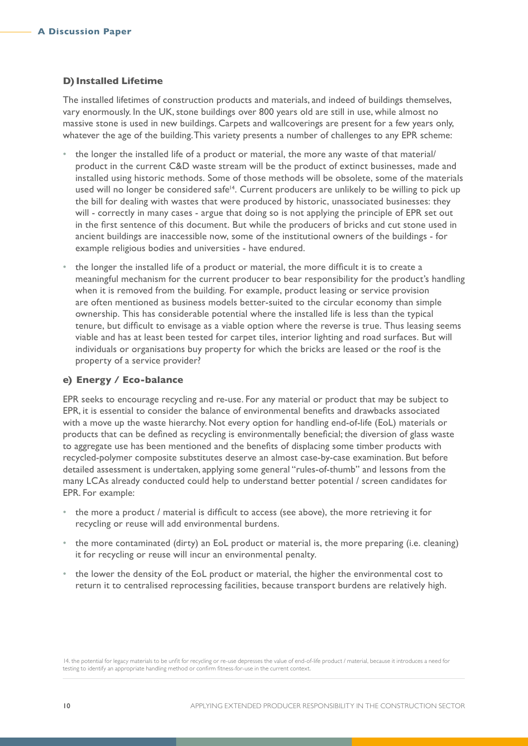#### **D) Installed Lifetime**

The installed lifetimes of construction products and materials, and indeed of buildings themselves, vary enormously. In the UK, stone buildings over 800 years old are still in use, while almost no massive stone is used in new buildings. Carpets and wallcoverings are present for a few years only, whatever the age of the building. This variety presents a number of challenges to any EPR scheme:

- the longer the installed life of a product or material, the more any waste of that material/ product in the current C&D waste stream will be the product of extinct businesses, made and installed using historic methods. Some of those methods will be obsolete, some of the materials used will no longer be considered safe<sup>14</sup>. Current producers are unlikely to be willing to pick up the bill for dealing with wastes that were produced by historic, unassociated businesses: they will - correctly in many cases - argue that doing so is not applying the principle of EPR set out in the first sentence of this document. But while the producers of bricks and cut stone used in ancient buildings are inaccessible now, some of the institutional owners of the buildings - for example religious bodies and universities - have endured.
- the longer the installed life of a product or material, the more difficult it is to create a meaningful mechanism for the current producer to bear responsibility for the product's handling when it is removed from the building. For example, product leasing or service provision are often mentioned as business models better-suited to the circular economy than simple ownership. This has considerable potential where the installed life is less than the typical tenure, but difficult to envisage as a viable option where the reverse is true. Thus leasing seems viable and has at least been tested for carpet tiles, interior lighting and road surfaces. But will individuals or organisations buy property for which the bricks are leased or the roof is the property of a service provider?

#### **e) Energy / Eco-balance**

EPR seeks to encourage recycling and re-use. For any material or product that may be subject to EPR, it is essential to consider the balance of environmental benefits and drawbacks associated with a move up the waste hierarchy. Not every option for handling end-of-life (EoL) materials or products that can be defined as recycling is environmentally beneficial; the diversion of glass waste to aggregate use has been mentioned and the benefits of displacing some timber products with recycled-polymer composite substitutes deserve an almost case-by-case examination. But before detailed assessment is undertaken, applying some general "rules-of-thumb" and lessons from the many LCAs already conducted could help to understand better potential / screen candidates for EPR. For example:

- the more a product / material is difficult to access (see above), the more retrieving it for recycling or reuse will add environmental burdens.
- the more contaminated (dirty) an EoL product or material is, the more preparing (i.e. cleaning) it for recycling or reuse will incur an environmental penalty.
- the lower the density of the EoL product or material, the higher the environmental cost to return it to centralised reprocessing facilities, because transport burdens are relatively high.

14. the potential for legacy materials to be unfit for recycling or re-use depresses the value of end-of-life product / material, because it introduces a need for testing to identify an appropriate handling method or confirm fitness-for-use in the current context.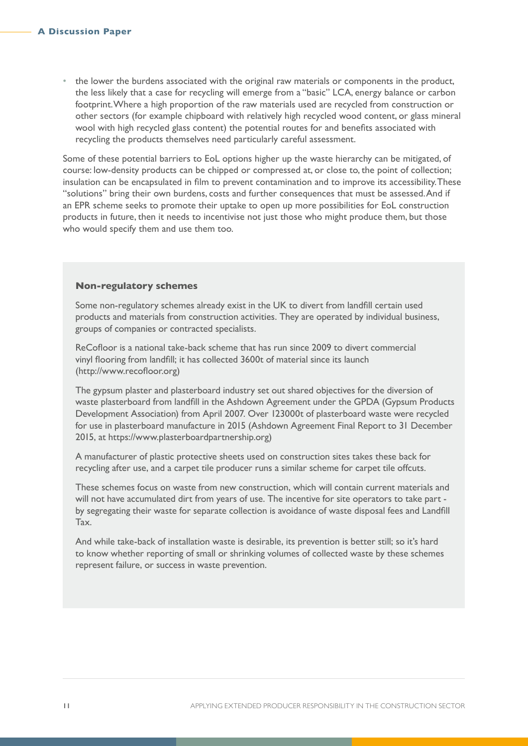• the lower the burdens associated with the original raw materials or components in the product, the less likely that a case for recycling will emerge from a "basic" LCA, energy balance or carbon footprint. Where a high proportion of the raw materials used are recycled from construction or other sectors (for example chipboard with relatively high recycled wood content, or glass mineral wool with high recycled glass content) the potential routes for and benefits associated with recycling the products themselves need particularly careful assessment.

Some of these potential barriers to EoL options higher up the waste hierarchy can be mitigated, of course: low-density products can be chipped or compressed at, or close to, the point of collection; insulation can be encapsulated in film to prevent contamination and to improve its accessibility. These "solutions" bring their own burdens, costs and further consequences that must be assessed. And if an EPR scheme seeks to promote their uptake to open up more possibilities for EoL construction products in future, then it needs to incentivise not just those who might produce them, but those who would specify them and use them too.

#### **Non-regulatory schemes**

Some non-regulatory schemes already exist in the UK to divert from landfill certain used products and materials from construction activities. They are operated by individual business, groups of companies or contracted specialists.

ReCofloor is a national take-back scheme that has run since 2009 to divert commercial vinyl flooring from landfill; it has collected 3600t of material since its launch (http://www.recofloor.org)

The gypsum plaster and plasterboard industry set out shared objectives for the diversion of waste plasterboard from landfill in the Ashdown Agreement under the GPDA (Gypsum Products Development Association) from April 2007. Over 123000t of plasterboard waste were recycled for use in plasterboard manufacture in 2015 (Ashdown Agreement Final Report to 31 December 2015, at https://www.plasterboardpartnership.org)

A manufacturer of plastic protective sheets used on construction sites takes these back for recycling after use, and a carpet tile producer runs a similar scheme for carpet tile offcuts.

These schemes focus on waste from new construction, which will contain current materials and will not have accumulated dirt from years of use. The incentive for site operators to take part by segregating their waste for separate collection is avoidance of waste disposal fees and Landfill Tax.

And while take-back of installation waste is desirable, its prevention is better still; so it's hard to know whether reporting of small or shrinking volumes of collected waste by these schemes represent failure, or success in waste prevention.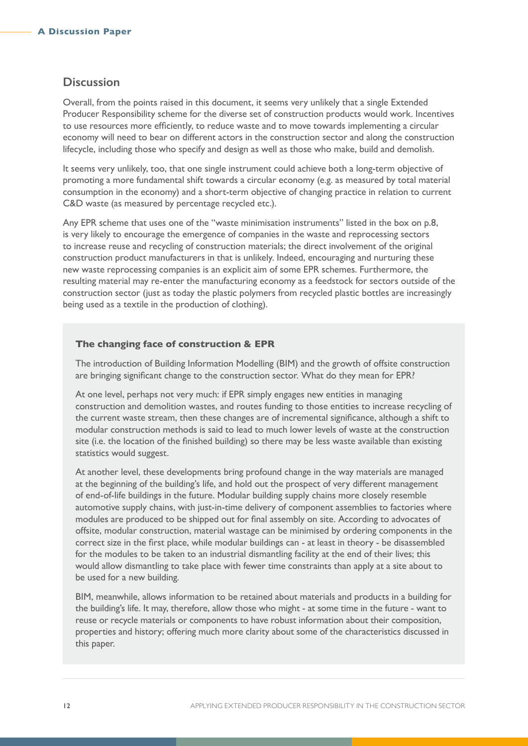### **Discussion**

Overall, from the points raised in this document, it seems very unlikely that a single Extended Producer Responsibility scheme for the diverse set of construction products would work. Incentives to use resources more efficiently, to reduce waste and to move towards implementing a circular economy will need to bear on different actors in the construction sector and along the construction lifecycle, including those who specify and design as well as those who make, build and demolish.

It seems very unlikely, too, that one single instrument could achieve both a long-term objective of promoting a more fundamental shift towards a circular economy (e.g. as measured by total material consumption in the economy) and a short-term objective of changing practice in relation to current C&D waste (as measured by percentage recycled etc.).

Any EPR scheme that uses one of the "waste minimisation instruments" listed in the box on p.8, is very likely to encourage the emergence of companies in the waste and reprocessing sectors to increase reuse and recycling of construction materials; the direct involvement of the original construction product manufacturers in that is unlikely. Indeed, encouraging and nurturing these new waste reprocessing companies is an explicit aim of some EPR schemes. Furthermore, the resulting material may re-enter the manufacturing economy as a feedstock for sectors outside of the construction sector (just as today the plastic polymers from recycled plastic bottles are increasingly being used as a textile in the production of clothing).

#### **The changing face of construction & EPR**

The introduction of Building Information Modelling (BIM) and the growth of offsite construction are bringing significant change to the construction sector. What do they mean for EPR?

At one level, perhaps not very much: if EPR simply engages new entities in managing construction and demolition wastes, and routes funding to those entities to increase recycling of the current waste stream, then these changes are of incremental significance, although a shift to modular construction methods is said to lead to much lower levels of waste at the construction site (i.e. the location of the finished building) so there may be less waste available than existing statistics would suggest.

At another level, these developments bring profound change in the way materials are managed at the beginning of the building's life, and hold out the prospect of very different management of end-of-life buildings in the future. Modular building supply chains more closely resemble automotive supply chains, with just-in-time delivery of component assemblies to factories where modules are produced to be shipped out for final assembly on site. According to advocates of offsite, modular construction, material wastage can be minimised by ordering components in the correct size in the first place, while modular buildings can - at least in theory - be disassembled for the modules to be taken to an industrial dismantling facility at the end of their lives; this would allow dismantling to take place with fewer time constraints than apply at a site about to be used for a new building.

BIM, meanwhile, allows information to be retained about materials and products in a building for the building's life. It may, therefore, allow those who might - at some time in the future - want to reuse or recycle materials or components to have robust information about their composition, properties and history; offering much more clarity about some of the characteristics discussed in this paper.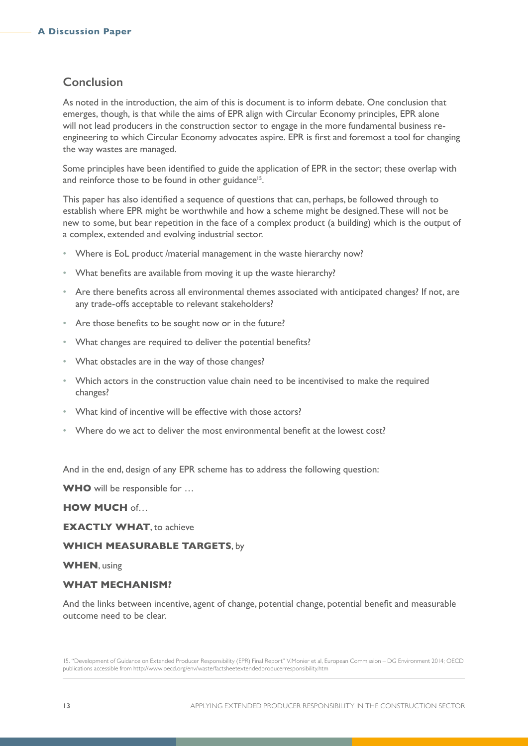## **Conclusion**

As noted in the introduction, the aim of this is document is to inform debate. One conclusion that emerges, though, is that while the aims of EPR align with Circular Economy principles, EPR alone will not lead producers in the construction sector to engage in the more fundamental business reengineering to which Circular Economy advocates aspire. EPR is first and foremost a tool for changing the way wastes are managed.

Some principles have been identified to guide the application of EPR in the sector; these overlap with and reinforce those to be found in other guidance<sup>15</sup>.

This paper has also identified a sequence of questions that can, perhaps, be followed through to establish where EPR might be worthwhile and how a scheme might be designed. These will not be new to some, but bear repetition in the face of a complex product (a building) which is the output of a complex, extended and evolving industrial sector.

- Where is EoL product /material management in the waste hierarchy now?
- What benefits are available from moving it up the waste hierarchy?
- Are there benefits across all environmental themes associated with anticipated changes? If not, are any trade-offs acceptable to relevant stakeholders?
- Are those benefits to be sought now or in the future?
- What changes are required to deliver the potential benefits?
- What obstacles are in the way of those changes?
- Which actors in the construction value chain need to be incentivised to make the required changes?
- What kind of incentive will be effective with those actors?
- Where do we act to deliver the most environmental benefit at the lowest cost?

And in the end, design of any EPR scheme has to address the following question:

**WHO** will be responsible for …

#### **HOW MUCH** of…

**EXACTLY WHAT**, to achieve

#### **WHICH MEASURABLE TARGETS**, by

#### **WHEN**, using

#### **WHAT MECHANISM?**

And the links between incentive, agent of change, potential change, potential benefit and measurable outcome need to be clear.

15. "Development of Guidance on Extended Producer Responsibility (EPR) Final Report" V.Monier et al, European Commission – DG Environment 2014; OECD publications accessible from http://www.oecd.org/env/waste/factsheetextendedproducerresponsibility.htm